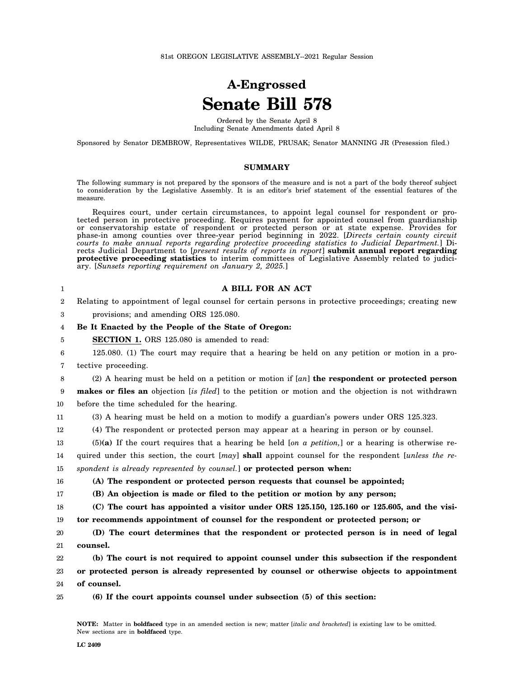## **A-Engrossed Senate Bill 578**

Ordered by the Senate April 8 Including Senate Amendments dated April 8

Sponsored by Senator DEMBROW, Representatives WILDE, PRUSAK; Senator MANNING JR (Presession filed.)

## **SUMMARY**

The following summary is not prepared by the sponsors of the measure and is not a part of the body thereof subject to consideration by the Legislative Assembly. It is an editor's brief statement of the essential features of the measure.

Requires court, under certain circumstances, to appoint legal counsel for respondent or protected person in protective proceeding. Requires payment for appointed counsel from guardianship or conservatorship estate of respondent or protected person or at state expense. Provides for phase-in among counties over three-year period beginning in 2022. [*Directs certain county circuit courts to make annual reports regarding protective proceeding statistics to Judicial Department.*] Directs Judicial Department to [*present results of reports in report*] **submit annual report regarding protective proceeding statistics** to interim committees of Legislative Assembly related to judiciary. [*Sunsets reporting requirement on January 2, 2025.*]

| $\mathbf{1}$ | A BILL FOR AN ACT                                                                                    |
|--------------|------------------------------------------------------------------------------------------------------|
| 2            | Relating to appointment of legal counsel for certain persons in protective proceedings; creating new |
| 3            | provisions; and amending ORS 125.080.                                                                |
| 4            | Be It Enacted by the People of the State of Oregon:                                                  |
| 5            | <b>SECTION 1.</b> ORS 125.080 is amended to read:                                                    |
| 6            | 125.080. (1) The court may require that a hearing be held on any petition or motion in a pro-        |
| 7            | tective proceeding.                                                                                  |
| 8            | (2) A hearing must be held on a petition or motion if $[an]$ the respondent or protected person      |
| 9            | makes or files an objection [is filed] to the petition or motion and the objection is not withdrawn  |
| 10           | before the time scheduled for the hearing.                                                           |
| 11           | (3) A hearing must be held on a motion to modify a guardian's powers under ORS 125.323.              |
| 12           | (4) The respondent or protected person may appear at a hearing in person or by counsel.              |
| 13           | $(5)(a)$ If the court requires that a hearing be held [on a petition,] or a hearing is otherwise re- |
| 14           | quired under this section, the court [may] shall appoint counsel for the respondent [unless the re-  |
| 15           | spondent is already represented by counsel.] or protected person when:                               |
| 16           | (A) The respondent or protected person requests that counsel be appointed;                           |
| 17           | (B) An objection is made or filed to the petition or motion by any person;                           |
| 18           | $(C)$ The court has appointed a visitor under ORS 125.150, 125.160 or 125.605, and the visi-         |
| 19           | tor recommends appointment of counsel for the respondent or protected person; or                     |
| 20           | (D) The court determines that the respondent or protected person is in need of legal                 |
| 21           | counsel.                                                                                             |
| 22           | (b) The court is not required to appoint counsel under this subsection if the respondent             |
| 23           | or protected person is already represented by counsel or otherwise objects to appointment            |
| 24           | of counsel.                                                                                          |
| 25           | (6) If the court appoints counsel under subsection (5) of this section:                              |